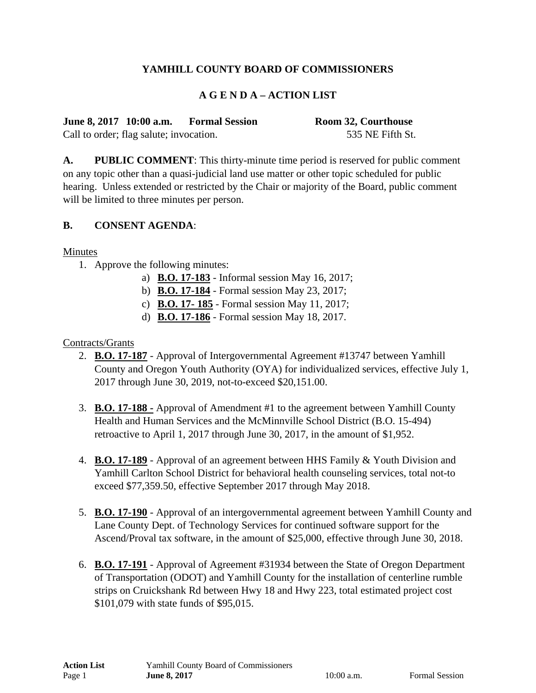# **YAMHILL COUNTY BOARD OF COMMISSIONERS**

### **A G E N D A – ACTION LIST**

| June 8, 2017 10:00 a.m.                 |  | <b>Formal Session</b> | <b>Room 32, Courthouse</b> |
|-----------------------------------------|--|-----------------------|----------------------------|
| Call to order; flag salute; invocation. |  |                       | 535 NE Fifth St.           |

**A. PUBLIC COMMENT**: This thirty-minute time period is reserved for public comment on any topic other than a quasi-judicial land use matter or other topic scheduled for public hearing. Unless extended or restricted by the Chair or majority of the Board, public comment will be limited to three minutes per person.

#### **B. CONSENT AGENDA**:

#### Minutes

- 1. Approve the following minutes:
	- a) **B.O. 17-183** Informal session May 16, 2017;
	- b) **B.O. 17-184** Formal session May 23, 2017;
	- c) **B.O. 17- 185** Formal session May 11, 2017;
	- d) **B.O. 17-186** Formal session May 18, 2017.

#### Contracts/Grants

- 2. **B.O. 17-187** Approval of Intergovernmental Agreement #13747 between Yamhill County and Oregon Youth Authority (OYA) for individualized services, effective July 1, 2017 through June 30, 2019, not-to-exceed \$20,151.00.
- 3. **B.O. 17-188 -** Approval of Amendment #1 to the agreement between Yamhill County Health and Human Services and the McMinnville School District (B.O. 15-494) retroactive to April 1, 2017 through June 30, 2017, in the amount of \$1,952.
- 4. **B.O. 17-189** Approval of an agreement between HHS Family & Youth Division and Yamhill Carlton School District for behavioral health counseling services, total not-to exceed \$77,359.50, effective September 2017 through May 2018.
- 5. **B.O. 17-190** Approval of an intergovernmental agreement between Yamhill County and Lane County Dept. of Technology Services for continued software support for the Ascend/Proval tax software, in the amount of \$25,000, effective through June 30, 2018.
- 6. **B.O. 17-191** Approval of Agreement #31934 between the State of Oregon Department of Transportation (ODOT) and Yamhill County for the installation of centerline rumble strips on Cruickshank Rd between Hwy 18 and Hwy 223, total estimated project cost \$101,079 with state funds of \$95,015.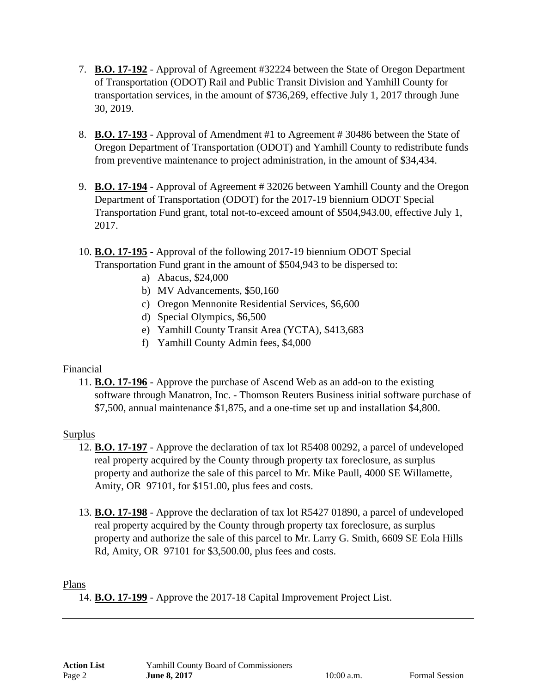- 7. **B.O. 17-192** Approval of Agreement #32224 between the State of Oregon Department of Transportation (ODOT) Rail and Public Transit Division and Yamhill County for transportation services, in the amount of \$736,269, effective July 1, 2017 through June 30, 2019.
- 8. **B.O. 17-193** Approval of Amendment #1 to Agreement # 30486 between the State of Oregon Department of Transportation (ODOT) and Yamhill County to redistribute funds from preventive maintenance to project administration, in the amount of \$34,434.
- 9. **B.O. 17-194** Approval of Agreement # 32026 between Yamhill County and the Oregon Department of Transportation (ODOT) for the 2017-19 biennium ODOT Special Transportation Fund grant, total not-to-exceed amount of \$504,943.00, effective July 1, 2017.
- 10. **B.O. 17-195** Approval of the following 2017-19 biennium ODOT Special Transportation Fund grant in the amount of \$504,943 to be dispersed to:
	- a) Abacus, \$24,000
	- b) MV Advancements, \$50,160
	- c) Oregon Mennonite Residential Services, \$6,600
	- d) Special Olympics, \$6,500
	- e) Yamhill County Transit Area (YCTA), \$413,683
	- f) Yamhill County Admin fees, \$4,000

# Financial

11. **B.O. 17-196** - Approve the purchase of Ascend Web as an add-on to the existing software through Manatron, Inc. - Thomson Reuters Business initial software purchase of \$7,500, annual maintenance \$1,875, and a one-time set up and installation \$4,800.

# Surplus

- 12. **B.O. 17-197** Approve the declaration of tax lot R5408 00292, a parcel of undeveloped real property acquired by the County through property tax foreclosure, as surplus property and authorize the sale of this parcel to Mr. Mike Paull, 4000 SE Willamette, Amity, OR 97101, for \$151.00, plus fees and costs.
- 13. **B.O. 17-198** Approve the declaration of tax lot R5427 01890, a parcel of undeveloped real property acquired by the County through property tax foreclosure, as surplus property and authorize the sale of this parcel to Mr. Larry G. Smith, 6609 SE Eola Hills Rd, Amity, OR 97101 for \$3,500.00, plus fees and costs.

# Plans

14. **B.O. 17-199** - Approve the 2017-18 Capital Improvement Project List.